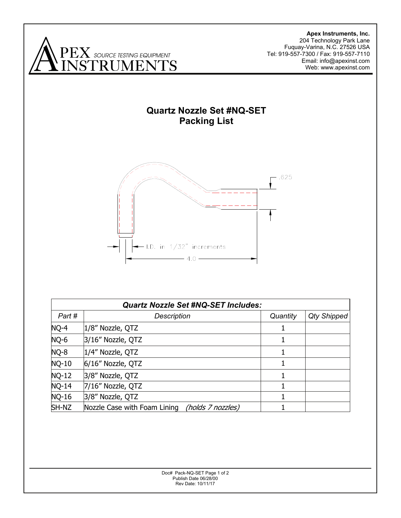

**Apex Instruments, Inc.**  204 Technology Park Lane Fuquay-Varina, N.C. 27526 USA Tel: 919-557-7300 / Fax: 919-557-7110 Email: info@apexinst.com Web: www.apexinst.com

## **Quartz Nozzle Set #NQ-SET Packing List**



| <b>Quartz Nozzle Set #NQ-SET Includes:</b> |                                                   |          |                    |
|--------------------------------------------|---------------------------------------------------|----------|--------------------|
| Part #                                     | <b>Description</b>                                | Quantity | <b>Qty Shipped</b> |
| $NQ-4$                                     | 1/8" Nozzle, QTZ                                  |          |                    |
| NQ-6                                       | 3/16" Nozzle, QTZ                                 |          |                    |
| NQ-8                                       | 1/4" Nozzle, QTZ                                  | 1        |                    |
| $NQ-10$                                    | 6/16" Nozzle, QTZ                                 |          |                    |
| $NQ-12$                                    | 3/8" Nozzle, QTZ                                  |          |                    |
| $NQ-14$                                    | 7/16" Nozzle, QTZ                                 |          |                    |
| $NQ-16$                                    | 3/8" Nozzle, QTZ                                  |          |                    |
| SH-NZ                                      | Nozzle Case with Foam Lining<br>(holds 7 nozzles) |          |                    |